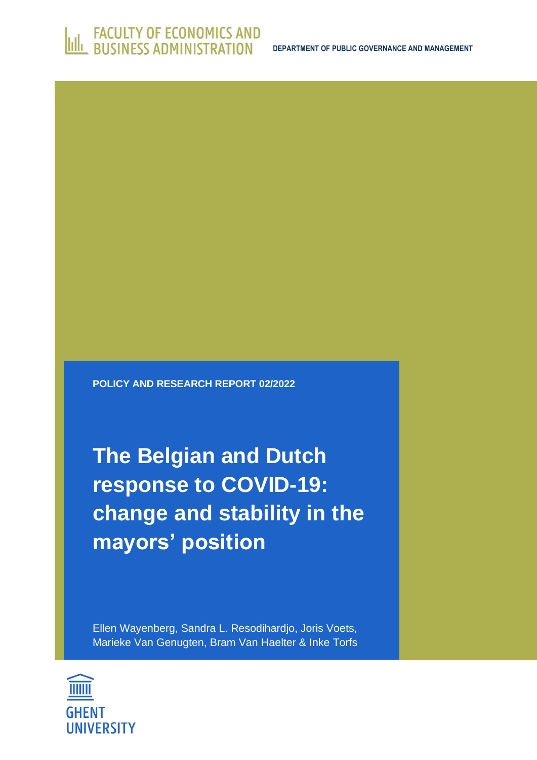**POLICY AND RESEARCH REPORT 02/2022**

**The Belgian and Dutch response to COVID-19: change and stability in the mayors' position**

Ellen Wayenberg, Sandra L. Resodihardjo, Joris Voets, Marieke Van Genugten, Bram Van Haelter & Inke Torfs

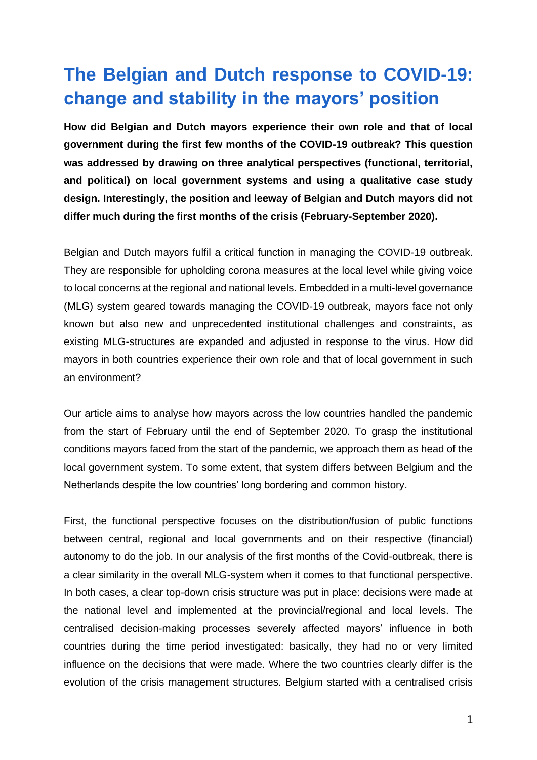## **The Belgian and Dutch response to COVID-19: change and stability in the mayors' position**

**How did Belgian and Dutch mayors experience their own role and that of local government during the first few months of the COVID-19 outbreak? This question was addressed by drawing on three analytical perspectives (functional, territorial, and political) on local government systems and using a qualitative case study design. Interestingly, the position and leeway of Belgian and Dutch mayors did not differ much during the first months of the crisis (February-September 2020).**

Belgian and Dutch mayors fulfil a critical function in managing the COVID-19 outbreak. They are responsible for upholding corona measures at the local level while giving voice to local concerns at the regional and national levels. Embedded in a multi-level governance (MLG) system geared towards managing the COVID-19 outbreak, mayors face not only known but also new and unprecedented institutional challenges and constraints, as existing MLG-structures are expanded and adjusted in response to the virus. How did mayors in both countries experience their own role and that of local government in such an environment?

Our article aims to analyse how mayors across the low countries handled the pandemic from the start of February until the end of September 2020. To grasp the institutional conditions mayors faced from the start of the pandemic, we approach them as head of the local government system. To some extent, that system differs between Belgium and the Netherlands despite the low countries' long bordering and common history.

First, the functional perspective focuses on the distribution/fusion of public functions between central, regional and local governments and on their respective (financial) autonomy to do the job. In our analysis of the first months of the Covid-outbreak, there is a clear similarity in the overall MLG-system when it comes to that functional perspective. In both cases, a clear top-down crisis structure was put in place: decisions were made at the national level and implemented at the provincial/regional and local levels. The centralised decision-making processes severely affected mayors' influence in both countries during the time period investigated: basically, they had no or very limited influence on the decisions that were made. Where the two countries clearly differ is the evolution of the crisis management structures. Belgium started with a centralised crisis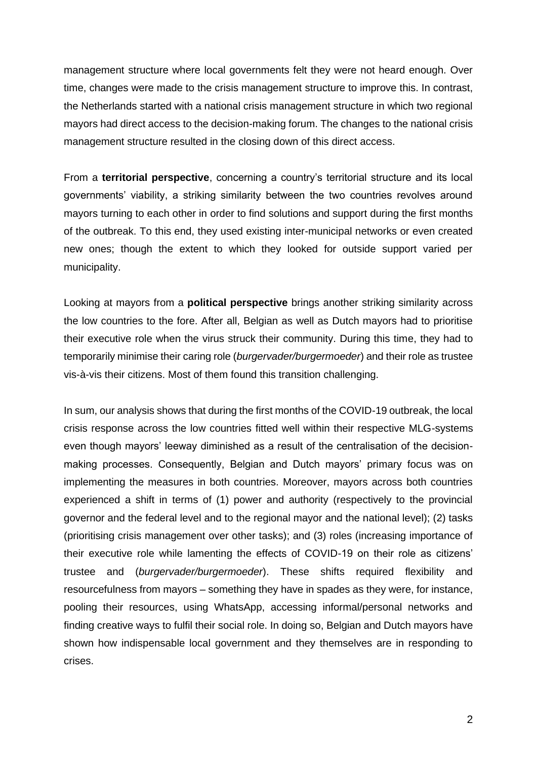management structure where local governments felt they were not heard enough. Over time, changes were made to the crisis management structure to improve this. In contrast, the Netherlands started with a national crisis management structure in which two regional mayors had direct access to the decision-making forum. The changes to the national crisis management structure resulted in the closing down of this direct access.

From a **territorial perspective**, concerning a country's territorial structure and its local governments' viability, a striking similarity between the two countries revolves around mayors turning to each other in order to find solutions and support during the first months of the outbreak. To this end, they used existing inter-municipal networks or even created new ones; though the extent to which they looked for outside support varied per municipality.

Looking at mayors from a **political perspective** brings another striking similarity across the low countries to the fore. After all, Belgian as well as Dutch mayors had to prioritise their executive role when the virus struck their community. During this time, they had to temporarily minimise their caring role (*burgervader/burgermoeder*) and their role as trustee vis-à-vis their citizens. Most of them found this transition challenging.

In sum, our analysis shows that during the first months of the COVID-19 outbreak, the local crisis response across the low countries fitted well within their respective MLG-systems even though mayors' leeway diminished as a result of the centralisation of the decisionmaking processes. Consequently, Belgian and Dutch mayors' primary focus was on implementing the measures in both countries. Moreover, mayors across both countries experienced a shift in terms of (1) power and authority (respectively to the provincial governor and the federal level and to the regional mayor and the national level); (2) tasks (prioritising crisis management over other tasks); and (3) roles (increasing importance of their executive role while lamenting the effects of COVID-19 on their role as citizens' trustee and (*burgervader/burgermoeder*). These shifts required flexibility and resourcefulness from mayors – something they have in spades as they were, for instance, pooling their resources, using WhatsApp, accessing informal/personal networks and finding creative ways to fulfil their social role. In doing so, Belgian and Dutch mayors have shown how indispensable local government and they themselves are in responding to crises.